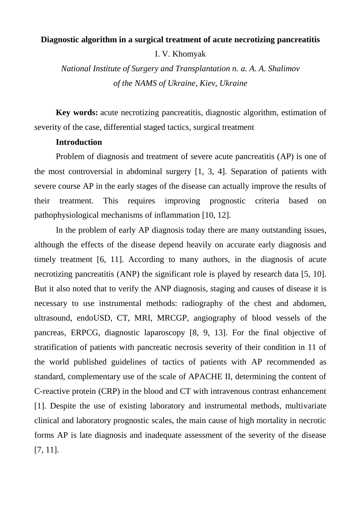# **Diagnostic algorithm in a surgical treatment of acute necrotizing pancreatitis**

I. V. Khomyak

*National Institute of Surgery and Transplantation n. a. A. A. Shalimov of the NAMS of Ukraine, Kiev, Ukraine*

**Key words:** acute necrotizing pancreatitis, diagnostic algorithm, estimation of severity of the case, differential staged tactics, surgical treatment

# **Introduction**

Problem of diagnosis and treatment of severe acute pancreatitis (AP) is one of the most controversial in abdominal surgery [1, 3, 4]. Separation of patients with severe course AP in the early stages of the disease can actually improve the results of their treatment. This requires improving prognostic criteria based on pathophysiological mechanisms of inflammation [10, 12].

In the problem of early AP diagnosis today there are many outstanding issues, although the effects of the disease depend heavily on accurate early diagnosis and timely treatment [6, 11]. According to many authors, in the diagnosis of acute necrotizing pancreatitis (ANP) the significant role is played by research data [5, 10]. But it also noted that to verify the ANP diagnosis, staging and causes of disease it is necessary to use instrumental methods: radiography of the chest and abdomen, ultrasound, endoUSD, CT, MRI, MRCGP, angiography of blood vessels of the pancreas, ERPCG, diagnostic laparoscopy [8, 9, 13]. For the final objective of stratification of patients with pancreatic necrosis severity of their condition in 11 of the world published guidelines of tactics of patients with AP recommended as standard, complementary use of the scale of APACHE II, determining the content of C-reactive protein (CRP) in the blood and CT with intravenous contrast enhancement [1]. Despite the use of existing laboratory and instrumental methods, multivariate clinical and laboratory prognostic scales, the main cause of high mortality in necrotic forms AP is late diagnosis and inadequate assessment of the severity of the disease [7, 11].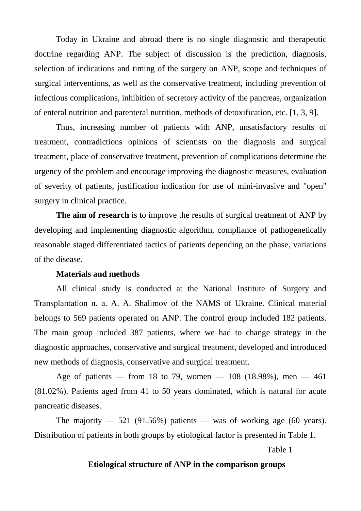Today in Ukraine and abroad there is no single diagnostic and therapeutic doctrine regarding ANP. The subject of discussion is the prediction, diagnosis, selection of indications and timing of the surgery on ANP, scope and techniques of surgical interventions, as well as the conservative treatment, including prevention of infectious complications, inhibition of secretory activity of the pancreas, organization of enteral nutrition and parenteral nutrition, methods of detoxification, etc. [1, 3, 9].

Thus, increasing number of patients with ANP, unsatisfactory results of treatment, contradictions opinions of scientists on the diagnosis and surgical treatment, place of conservative treatment, prevention of complications determine the urgency of the problem and encourage improving the diagnostic measures, evaluation of severity of patients, justification indication for use of mini-invasive and "open" surgery in clinical practice.

**The aim of research** is to improve the results of surgical treatment of ANP by developing and implementing diagnostic algorithm, compliance of pathogenetically reasonable staged differentiated tactics of patients depending on the phase, variations of the disease.

# **Materials and methods**

All clinical study is conducted at the National Institute of Surgery and Transplantation n. a. A. A. Shalimov of the NAMS of Ukraine. Clinical material belongs to 569 patients operated on ANP. The control group included 182 patients. The main group included 387 patients, where we had to change strategy in the diagnostic approaches, conservative and surgical treatment, developed and introduced new methods of diagnosis, conservative and surgical treatment.

Age of patients — from 18 to 79, women —  $108$  (18.98%), men — 461 (81.02%). Patients aged from 41 to 50 years dominated, which is natural for acute pancreatic diseases.

The majority  $-521$  (91.56%) patients  $-$  was of working age (60 years). Distribution of patients in both groups by etiological factor is presented in Table 1.

Table 1

#### **Etiological structure of ANP in the comparison groups**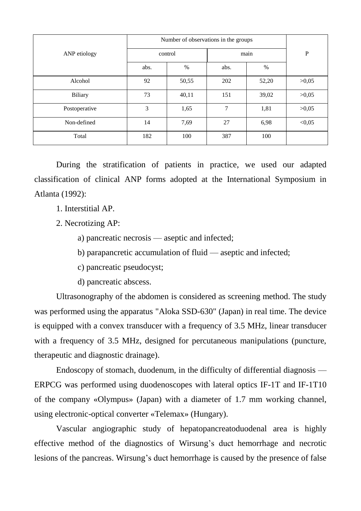|                | Number of observations in the groups |       |        |       |           |
|----------------|--------------------------------------|-------|--------|-------|-----------|
| ANP etiology   | control                              |       | main   |       | ${\bf P}$ |
|                | abs.                                 | $\%$  | abs.   | $\%$  |           |
| Alcohol        | 92                                   | 50,55 | 202    | 52,20 | >0,05     |
| <b>Biliary</b> | 73                                   | 40,11 | 151    | 39,02 | >0,05     |
| Postoperative  | 3                                    | 1,65  | $\tau$ | 1,81  | >0,05     |
| Non-defined    | 14                                   | 7,69  | 27     | 6,98  | < 0.05    |
| Total          | 182                                  | 100   | 387    | 100   |           |

During the stratification of patients in practice, we used our adapted classification of clinical ANP forms adopted at the International Symposium in Atlanta (1992):

- 1. Interstitial AP.
- 2. Necrotizing AP:
	- a) pancreatic necrosis aseptic and infected;
	- b) parapancretic accumulation of fluid aseptic and infected;
	- c) pancreatic pseudocyst;
	- d) pancreatic abscess.

Ultrasonography of the abdomen is considered as screening method. The study was performed using the apparatus "Aloka SSD-630" (Japan) in real time. The device is equipped with a convex transducer with a frequency of 3.5 MHz, linear transducer with a frequency of 3.5 MHz, designed for percutaneous manipulations (puncture, therapeutic and diagnostic drainage).

Endoscopy of stomach, duodenum, in the difficulty of differential diagnosis — ERPCG was performed using duodenoscopes with lateral optics IF-1T and IF-1T10 of the company «Olympus» (Japan) with a diameter of 1.7 mm working channel, using electronic-optical converter «Telemax» (Hungary).

Vascular angiographic study of hepatopancreatoduodenal area is highly effective method of the diagnostics of Wirsung's duct hemorrhage and necrotic lesions of the pancreas. Wirsung's duct hemorrhage is caused by the presence of false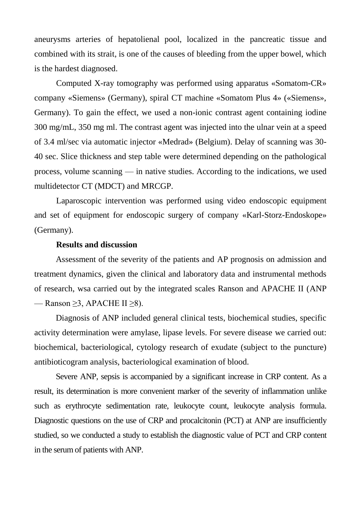aneurysms arteries of hepatolienal pool, localized in the pancreatic tissue and combined with its strait, is one of the causes of bleeding from the upper bowel, which is the hardest diagnosed.

Computed X-ray tomography was performed using apparatus «Somatom-CR» company «Siemens» (Germany), spiral CT machine «Somatom Plus 4» («Siemens», Germany). To gain the effect, we used a non-ionic contrast agent containing iodine 300 mg/mL, 350 mg ml. The contrast agent was injected into the ulnar vein at a speed of 3.4 ml/sec via automatic injector «Medrad» (Belgium). Delay of scanning was 30- 40 sec. Slice thickness and step table were determined depending on the pathological process, volume scanning — in native studies. According to the indications, we used multidetector CT (MDCT) and MRCGP.

Laparoscopic intervention was performed using video endoscopic equipment and set of equipment for endoscopic surgery of company «Karl-Storz-Endoskope» (Germany).

#### **Results and discussion**

Assessment of the severity of the patients and AP prognosis on admission and treatment dynamics, given the clinical and laboratory data and instrumental methods of research, wsa carried out by the integrated scales Ranson and APACHE II (ANP — Ranson  $\geq$ 3, APACHE II  $\geq$ 8).

Diagnosis of ANP included general clinical tests, biochemical studies, specific activity determination were amylase, lipase levels. For severe disease we carried out: biochemical, bacteriological, cytology research of exudate (subject to the puncture) antibioticogram analysis, bacteriological examination of blood.

Severe ANP, sepsis is accompanied by a significant increase in CRP content. As a result, its determination is more convenient marker of the severity of inflammation unlike such as erythrocyte sedimentation rate, leukocyte count, leukocyte analysis formula. Diagnostic questions on the use of CRP and procalcitonin (PCT) at ANP are insufficiently studied, so we conducted a study to establish the diagnostic value of PCT and CRP content in the serum of patients with ANP.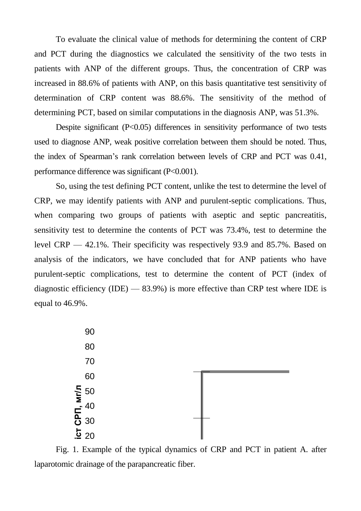To evaluate the clinical value of methods for determining the content of CRP and PCT during the diagnostics we calculated the sensitivity of the two tests in patients with ANP of the different groups. Thus, the concentration of CRP was increased in 88.6% of patients with ANP, on this basis quantitative test sensitivity of determination of CRP content was 88.6%. The sensitivity of the method of determining PCT, based on similar computations in the diagnosis ANP, was 51.3%.

Despite significant  $(P<0.05)$  differences in sensitivity performance of two tests used to diagnose ANP, weak positive correlation between them should be noted. Thus, the index of Spearman's rank correlation between levels of CRP and PCT was 0.41, performance difference was significant (P<0.001).

So, using the test defining PCT content, unlike the test to determine the level of CRP, we may identify patients with ANP and purulent-septic complications. Thus, when comparing two groups of patients with aseptic and septic pancreatitis, sensitivity test to determine the contents of PCT was 73.4%, test to determine the level CRP — 42.1%. Their specificity was respectively 93.9 and 85.7%. Based on analysis of the indicators, we have concluded that for ANP patients who have purulent-septic complications, test to determine the content of PCT (index of diagnostic efficiency (IDE) —  $83.9\%$ ) is more effective than CRP test where IDE is equal to 46.9%.



Fig. 1. Example of the typical dynamics of CRP and PCT in patient A. after laparotomic drainage of the parapancreatic fiber.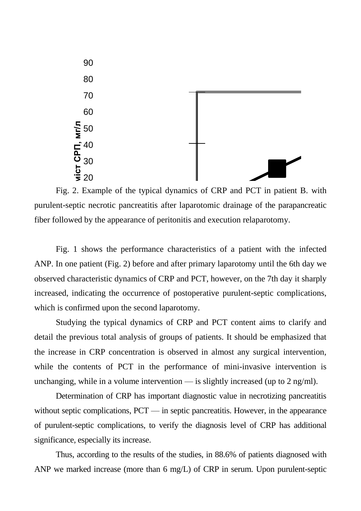

**<u>Increatitie</u>** efter leperatomic dreinege of the ne</u>  $\mathbf{u}$ Fig. 2. Example of the typical dynamics of CRP and PCT in patient B. with fiber followed by the appearance of peritonitis and execution relaparotomy. purulent-septic necrotic pancreatitis after laparotomic drainage of the parapancreatic

Fig. 1 shows the performance characteristics of a patient with the infected ANP. In one patient (Fig. 2) before and after primary laparotomy until the 6th day we observed characteristic dynamics of CRP and PCT, however, on the 7th day it sharply increased, indicating the occurrence of postoperative purulent-septic complications, which is confirmed upon the second laparotomy.

Studying the typical dynamics of CRP and PCT content aims to clarify and detail the previous total analysis of groups of patients. It should be emphasized that the increase in CRP concentration is observed in almost any surgical intervention, while the contents of PCT in the performance of mini-invasive intervention is unchanging, while in a volume intervention — is slightly increased (up to  $2 \text{ ng/ml}$ ).

Determination of CRP has important diagnostic value in necrotizing pancreatitis without septic complications, PCT — in septic pancreatitis. However, in the appearance of purulent-septic complications, to verify the diagnosis level of CRP has additional significance, especially its increase.

Thus, according to the results of the studies, in 88.6% of patients diagnosed with ANP we marked increase (more than 6 mg/L) of CRP in serum. Upon purulent-septic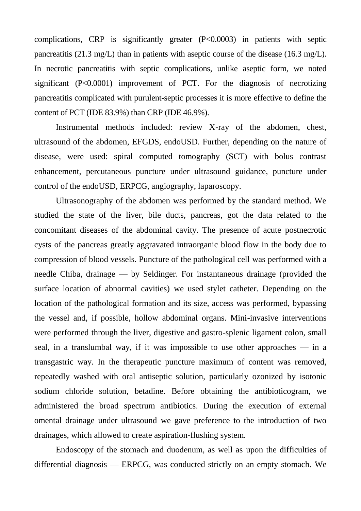complications, CRP is significantly greater (P<0.0003) in patients with septic pancreatitis (21.3 mg/L) than in patients with aseptic course of the disease (16.3 mg/L). In necrotic pancreatitis with septic complications, unlike aseptic form, we noted significant (P<0.0001) improvement of PCT. For the diagnosis of necrotizing pancreatitis complicated with purulent-septic processes it is more effective to define the content of PCT (IDE 83.9%) than CRP (IDE 46.9%).

Instrumental methods included: review X-ray of the abdomen, chest, ultrasound of the abdomen, EFGDS, endoUSD. Further, depending on the nature of disease, were used: spiral computed tomography (SCT) with bolus contrast enhancement, percutaneous puncture under ultrasound guidance, puncture under control of the endoUSD, ERPCG, angiography, laparoscopy.

Ultrasonography of the abdomen was performed by the standard method. We studied the state of the liver, bile ducts, pancreas, got the data related to the concomitant diseases of the abdominal cavity. The presence of acute postnecrotic cysts of the pancreas greatly aggravated intraorganic blood flow in the body due to compression of blood vessels. Puncture of the pathological cell was performed with a needle Chiba, drainage — by Seldinger. For instantaneous drainage (provided the surface location of abnormal cavities) we used stylet catheter. Depending on the location of the pathological formation and its size, access was performed, bypassing the vessel and, if possible, hollow abdominal organs. Mini-invasive interventions were performed through the liver, digestive and gastro-splenic ligament colon, small seal, in a translumbal way, if it was impossible to use other approaches — in a transgastric way. In the therapeutic puncture maximum of content was removed, repeatedly washed with oral antiseptic solution, particularly ozonized by isotonic sodium chloride solution, betadine. Before obtaining the antibioticogram, we administered the broad spectrum antibiotics. During the execution of external omental drainage under ultrasound we gave preference to the introduction of two drainages, which allowed to create aspiration-flushing system.

Endoscopy of the stomach and duodenum, as well as upon the difficulties of differential diagnosis — ERPCG, was conducted strictly on an empty stomach. We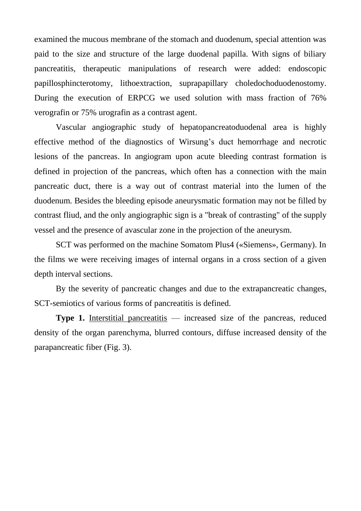examined the mucous membrane of the stomach and duodenum, special attention was paid to the size and structure of the large duodenal papilla. With signs of biliary pancreatitis, therapeutic manipulations of research were added: endoscopic papillosphincterotomy, lithoextraction, suprapapillary choledochoduodenostomy. During the execution of ERPCG we used solution with mass fraction of 76% verografin or 75% urografin as a contrast agent.

Vascular angiographic study of hepatopancreatoduodenal area is highly effective method of the diagnostics of Wirsung's duct hemorrhage and necrotic lesions of the pancreas. In angiogram upon acute bleeding contrast formation is defined in projection of the pancreas, which often has a connection with the main pancreatic duct, there is a way out of contrast material into the lumen of the duodenum. Besides the bleeding episode aneurysmatic formation may not be filled by contrast fliud, and the only angiographic sign is a "break of contrasting" of the supply vessel and the presence of avascular zone in the projection of the aneurysm.

SCT was performed on the machine Somatom Plus4 («Siemens», Germany). In the films we were receiving images of internal organs in a cross section of a given depth interval sections.

By the severity of pancreatic changes and due to the extrapancreatic changes, SCT-semiotics of various forms of pancreatitis is defined.

**Type 1.** Interstitial pancreatitis — increased size of the pancreas, reduced density of the organ parenchyma, blurred contours, diffuse increased density of the parapancreatic fiber (Fig. 3).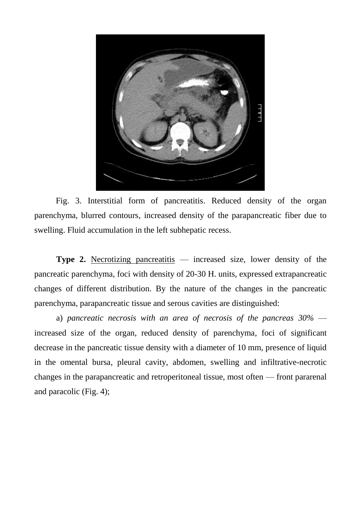

Fig. 3. Interstitial form of pancreatitis. Reduced density of the organ parenchyma, blurred contours, increased density of the parapancreatic fiber due to swelling. Fluid accumulation in the left subhepatic recess.

**Type 2.** Necrotizing pancreatitis — increased size, lower density of the pancreatic parenchyma, foci with density of 20-30 H. units, expressed extrapancreatic changes of different distribution. By the nature of the changes in the pancreatic parenchyma, parapancreatic tissue and serous cavities are distinguished:

a) *pancreatic necrosis with an area of necrosis of the pancreas 30%* increased size of the organ, reduced density of parenchyma, foci of significant decrease in the pancreatic tissue density with a diameter of 10 mm, presence of liquid in the omental bursa, pleural cavity, abdomen, swelling and infiltrative-necrotic changes in the parapancreatic and retroperitoneal tissue, most often — front pararenal and paracolic (Fig. 4);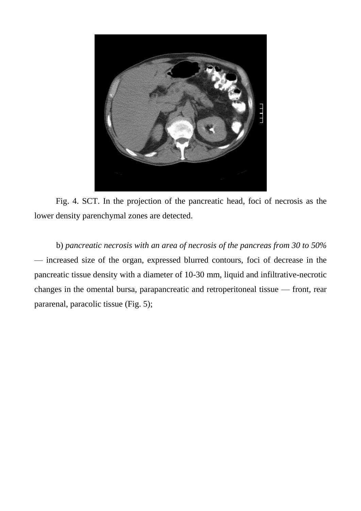

Fig. 4. SCT. In the projection of the pancreatic head, foci of necrosis as the lower density parenchymal zones are detected.

b) *pancreatic necrosis with an area of necrosis of the pancreas from 30 to 50%* — increased size of the organ, expressed blurred contours, foci of decrease in the pancreatic tissue density with a diameter of 10-30 mm, liquid and infiltrative-necrotic changes in the omental bursa, parapancreatic and retroperitoneal tissue — front, rear pararenal, paracolic tissue (Fig. 5);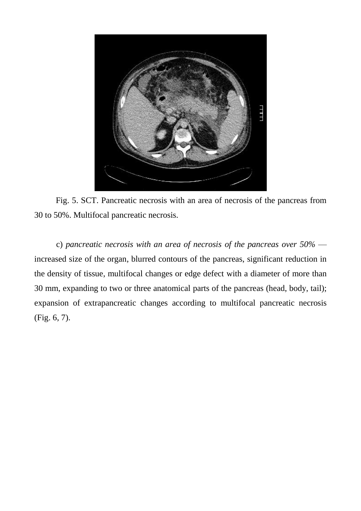

Fig. 5. SCT. Pancreatic necrosis with an area of necrosis of the pancreas from 30 to 50%. Multifocal pancreatic necrosis.

c) *pancreatic necrosis with an area of necrosis of the pancreas over 50%* increased size of the organ, blurred contours of the pancreas, significant reduction in the density of tissue, multifocal changes or edge defect with a diameter of more than 30 mm, expanding to two or three anatomical parts of the pancreas (head, body, tail); expansion of extrapancreatic changes according to multifocal pancreatic necrosis (Fig. 6, 7).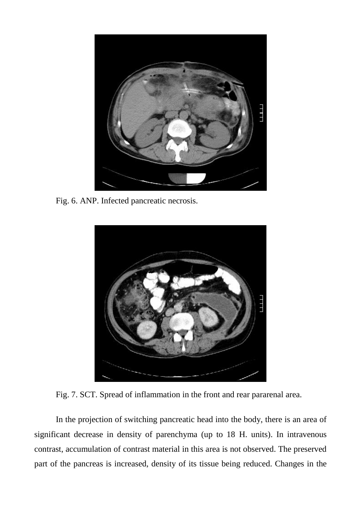

Fig. 6. ANP. Infected pancreatic necrosis.



Fig. 7. SCT. Spread of inflammation in the front and rear pararenal area.

In the projection of switching pancreatic head into the body, there is an area of significant decrease in density of parenchyma (up to 18 H. units). In intravenous contrast, accumulation of contrast material in this area is not observed. The preserved part of the pancreas is increased, density of its tissue being reduced. Changes in the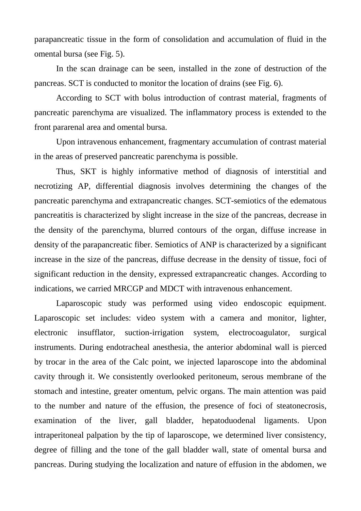parapancreatic tissue in the form of consolidation and accumulation of fluid in the omental bursa (see Fig. 5).

In the scan drainage can be seen, installed in the zone of destruction of the pancreas. SCT is conducted to monitor the location of drains (see Fig. 6).

According to SCT with bolus introduction of contrast material, fragments of pancreatic parenchyma are visualized. The inflammatory process is extended to the front pararenal area and omental bursa.

Upon intravenous enhancement, fragmentary accumulation of contrast material in the areas of preserved pancreatic parenchyma is possible.

Thus, SKT is highly informative method of diagnosis of interstitial and necrotizing AP, differential diagnosis involves determining the changes of the pancreatic parenchyma and extrapancreatic changes. SCT-semiotics of the edematous pancreatitis is characterized by slight increase in the size of the pancreas, decrease in the density of the parenchyma, blurred contours of the organ, diffuse increase in density of the parapancreatic fiber. Semiotics of ANP is characterized by a significant increase in the size of the pancreas, diffuse decrease in the density of tissue, foci of significant reduction in the density, expressed extrapancreatic changes. According to indications, we carried MRCGP and MDCT with intravenous enhancement.

Laparoscopic study was performed using video endoscopic equipment. Laparoscopic set includes: video system with a camera and monitor, lighter, electronic insufflator, suction-irrigation system, electrocoagulator, surgical instruments. During endotracheal anesthesia, the anterior abdominal wall is pierced by trocar in the area of the Calc point, we injected laparoscope into the abdominal cavity through it. We consistently overlooked peritoneum, serous membrane of the stomach and intestine, greater omentum, pelvic organs. The main attention was paid to the number and nature of the effusion, the presence of foci of steatonecrosis, examination of the liver, gall bladder, hepatoduodenal ligaments. Upon intraperitoneal palpation by the tip of laparoscope, we determined liver consistency, degree of filling and the tone of the gall bladder wall, state of omental bursa and pancreas. During studying the localization and nature of effusion in the abdomen, we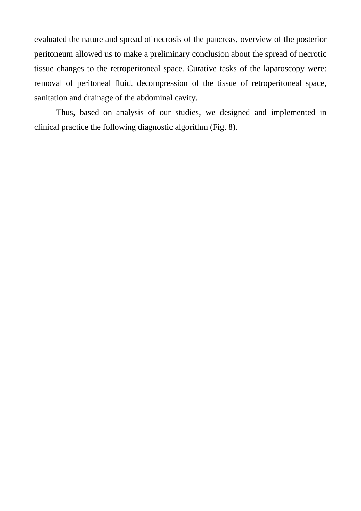evaluated the nature and spread of necrosis of the pancreas, overview of the posterior peritoneum allowed us to make a preliminary conclusion about the spread of necrotic tissue changes to the retroperitoneal space. Curative tasks of the laparoscopy were: removal of peritoneal fluid, decompression of the tissue of retroperitoneal space, sanitation and drainage of the abdominal cavity.

Thus, based on analysis of our studies, we designed and implemented in clinical practice the following diagnostic algorithm (Fig. 8).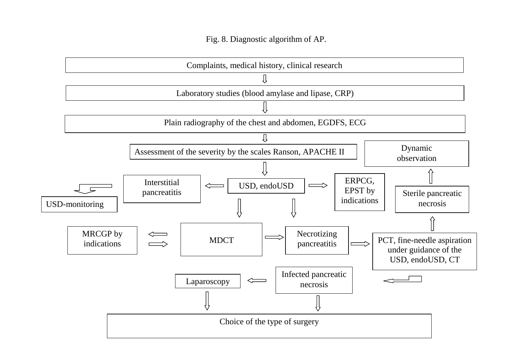# Fig. 8. Diagnostic algorithm of AP.

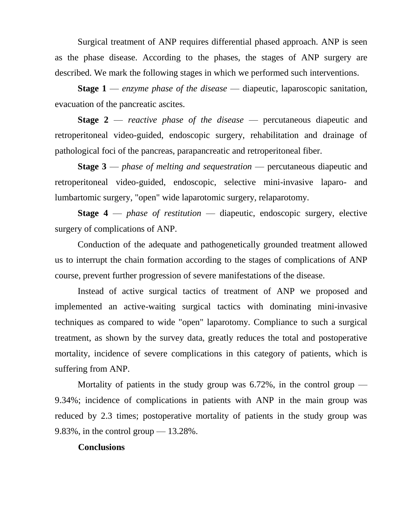Surgical treatment of ANP requires differential phased approach. ANP is seen as the phase disease. According to the phases, the stages of ANP surgery are described. We mark the following stages in which we performed such interventions.

**Stage 1** — *enzyme phase of the disease* — diapeutic, laparoscopic sanitation, evacuation of the pancreatic ascites.

**Stage 2** — *reactive phase of the disease* — percutaneous diapeutic and retroperitoneal video-guided, endoscopic surgery, rehabilitation and drainage of pathological foci of the pancreas, parapancreatic and retroperitoneal fiber.

**Stage 3** — *phase of melting and sequestration* — percutaneous diapeutic and retroperitoneal video-guided, endoscopic, selective mini-invasive laparo- and lumbartomic surgery, "open" wide laparotomic surgery, relaparotomy.

**Stage 4** — *phase of restitution* — diapeutic, endoscopic surgery, elective surgery of complications of ANP.

Conduction of the adequate and pathogenetically grounded treatment allowed us to interrupt the chain formation according to the stages of complications of ANP course, prevent further progression of severe manifestations of the disease.

Instead of active surgical tactics of treatment of ANP we proposed and implemented an active-waiting surgical tactics with dominating mini-invasive techniques as compared to wide "open" laparotomy. Compliance to such a surgical treatment, as shown by the survey data, greatly reduces the total and postoperative mortality, incidence of severe complications in this category of patients, which is suffering from ANP.

Mortality of patients in the study group was  $6.72\%$ , in the control group — 9.34%; incidence of complications in patients with ANP in the main group was reduced by 2.3 times; postoperative mortality of patients in the study group was 9.83%, in the control group  $-13.28\%$ .

# **Conclusions**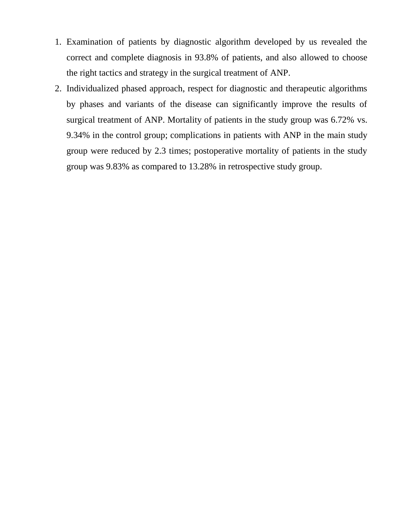- 1. Examination of patients by diagnostic algorithm developed by us revealed the correct and complete diagnosis in 93.8% of patients, and also allowed to choose the right tactics and strategy in the surgical treatment of ANP.
- 2. Individualized phased approach, respect for diagnostic and therapeutic algorithms by phases and variants of the disease can significantly improve the results of surgical treatment of ANP. Mortality of patients in the study group was 6.72% vs. 9.34% in the control group; complications in patients with ANP in the main study group were reduced by 2.3 times; postoperative mortality of patients in the study group was 9.83% as compared to 13.28% in retrospective study group.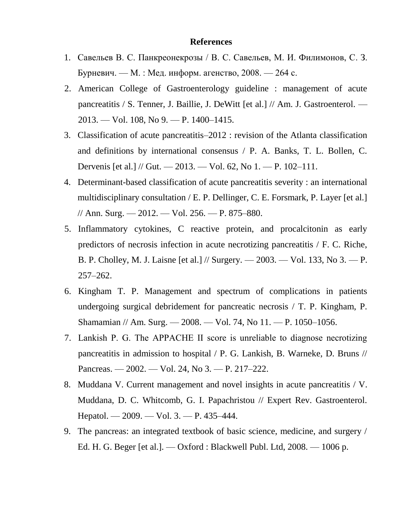# **References**

- 1. Савельев В. С. Панкреонекрозы / В. С. Савельев, М. И. Филимонов, С. З. Бурневич. — М. : Мед. информ. агенство, 2008. — 264 с.
- 2. American College of Gastroenterology guideline : management of acute pancreatitis / S. Tenner, J. Baillie, J. DeWitt [et al.] // Am. J. Gastroenterol. — 2013. — Vol. 108, No 9. — P. 1400–1415.
- 3. Classification of acute pancreatitis–2012 : revision of the Atlanta classification and definitions by international consensus / P. A. Banks, T. L. Bollen, C. Dervenis [et al.] // Gut. — 2013. — Vol. 62, No 1. — P. 102–111.
- 4. Determinant-based classification of acute pancreatitis severity : an international multidisciplinary consultation / E. P. Dellinger, C. E. Forsmark, P. Layer [et al.] // Ann. Surg. — 2012. — Vol. 256. — P. 875–880.
- 5. Inflammatory cytokines, C reactive protein, and procalcitonin as early predictors of necrosis infection in acute necrotizing pancreatitis / F. C. Riche, B. P. Cholley, M. J. Laisne [et al.] // Surgery. — 2003. — Vol. 133, No 3. — P. 257–262.
- 6. Kingham T. P. Management and spectrum of complications in patients undergoing surgical debridement for pancreatic necrosis / T. P. Kingham, P. Shamamian // Am. Surg. — 2008. — Vol. 74, No 11. — P. 1050–1056.
- 7. Lankish P. G. The APPACHE ІІ score is unreliable to diagnose necrotizing pancreatitis in admission to hospital / P. G. Lankish, B. Warneke, D. Bruns // Pancreas. — 2002. — Vol. 24, No 3. — P. 217–222.
- 8. Muddana V. Current management and novel insights in acute pancreatitis / V. Muddana, D. C. Whitcomb, G. I. Papachristou // Expert Rev. Gastroenterol. Hepatol. — 2009. — Vol. 3. — P. 435–444.
- 9. The pancreas: an integrated textbook of basic science, medicine, and surgery / Ed. H. G. Beger [et al.]. — Oxford : Blackwell Publ. Ltd, 2008. — 1006 p.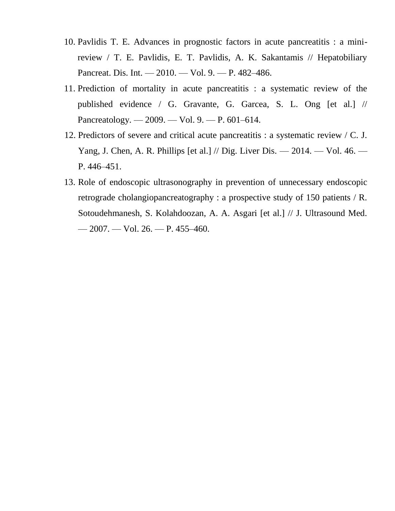- 10. Pavlidis T. E. Advances in prognostic factors in acute pancreatitis : a minireview / T. E. Pavlidis, E. T. Pavlidis, A. K. Sakantamis // Hepatobiliary Pancreat. Dis. Int. — 2010. — Vol. 9. — P. 482–486.
- 11. Prediction of mortality in acute pancreatitis : a systematic review of the published evidence / G. Gravante, G. Garcea, S. L. Ong [et al.] // Pancreatology. — 2009. — Vol. 9. — P. 601–614.
- 12. Predictors of severe and critical acute pancreatitis : a systematic review / C. J. Yang, J. Chen, A. R. Phillips [et al.] // Dig. Liver Dis. — 2014. — Vol. 46. — P. 446–451.
- 13. Role of endoscopic ultrasonography in prevention of unnecessary endoscopic retrograde cholangiopancreatography : a prospective study of 150 patients / R. Sotoudehmanesh, S. Kolahdoozan, A. A. Asgari [et al.] // J. Ultrasound Med. — 2007. — Vol. 26. — P. 455–460.